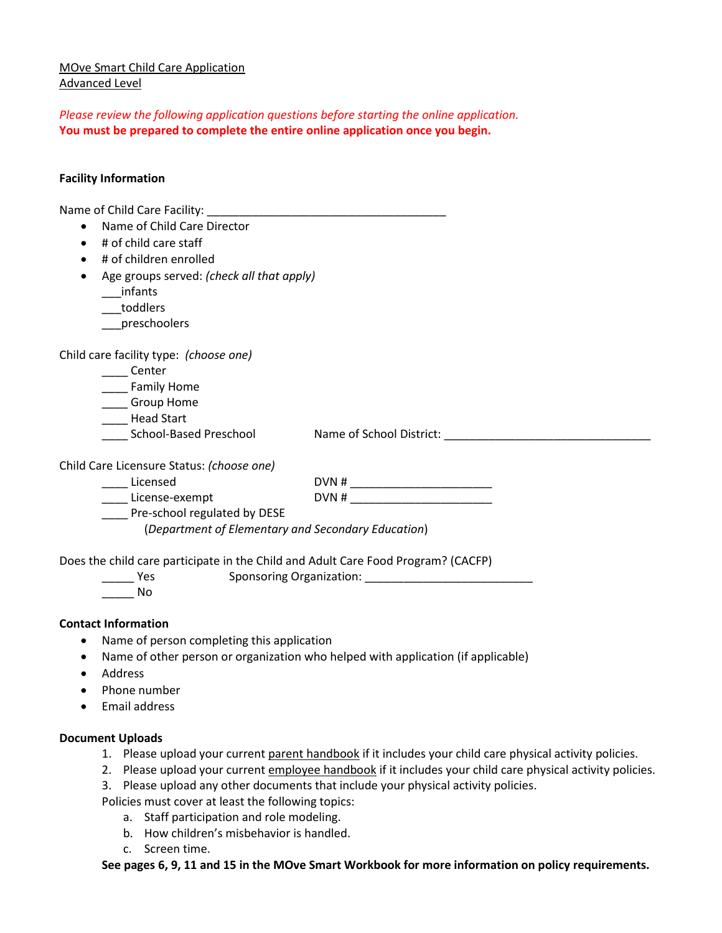# MOve Smart Child Care Application Advanced Level

*Please review the following application questions before starting the online application.*  **You must be prepared to complete the entire online application once you begin.**

## **Facility Information**

| Name of Child Care Facility: Name of Child Care Facility:                         |                                                                                  |  |
|-----------------------------------------------------------------------------------|----------------------------------------------------------------------------------|--|
| Name of Child Care Director                                                       |                                                                                  |  |
| # of child care staff<br>$\bullet$                                                |                                                                                  |  |
| # of children enrolled<br>$\bullet$                                               |                                                                                  |  |
| Age groups served: (check all that apply)<br>$\bullet$                            |                                                                                  |  |
| infants                                                                           |                                                                                  |  |
| toddlers                                                                          |                                                                                  |  |
| ___preschoolers                                                                   |                                                                                  |  |
| Child care facility type: (choose one)                                            |                                                                                  |  |
| Center                                                                            |                                                                                  |  |
| _____ Family Home                                                                 |                                                                                  |  |
| ____ Group Home                                                                   |                                                                                  |  |
| ____ Head Start                                                                   |                                                                                  |  |
| <b>School-Based Preschool</b>                                                     | Name of School District: Name of School District:                                |  |
| Child Care Licensure Status: (choose one)                                         |                                                                                  |  |
| _____ Licensed                                                                    |                                                                                  |  |
| License-exempt                                                                    |                                                                                  |  |
| Pre-school regulated by DESE                                                      |                                                                                  |  |
| (Department of Elementary and Secondary Education)                                |                                                                                  |  |
| Does the child care participate in the Child and Adult Care Food Program? (CACFP) |                                                                                  |  |
| <b>Parage Yes</b>                                                                 | Sponsoring Organization: Sponsoring Organization:                                |  |
| <b>No</b>                                                                         |                                                                                  |  |
| <b>Contact Information</b>                                                        |                                                                                  |  |
| Name of person completing this application<br>$\bullet$                           |                                                                                  |  |
|                                                                                   | Name of other person or organization who helped with application (if applicable) |  |
| Address                                                                           |                                                                                  |  |
| Phone number<br>$\bullet$                                                         |                                                                                  |  |

• Email address

## **Document Uploads**

- 1. Please upload your current parent handbook if it includes your child care physical activity policies.
- 2. Please upload your current employee handbook if it includes your child care physical activity policies.
- 3. Please upload any other documents that include your physical activity policies.

Policies must cover at least the following topics:

- a. Staff participation and role modeling.
- b. How children's misbehavior is handled.
- c. Screen time.

**See pages 6, 9, 11 and 15 in the MOve Smart Workbook for more information on policy requirements.**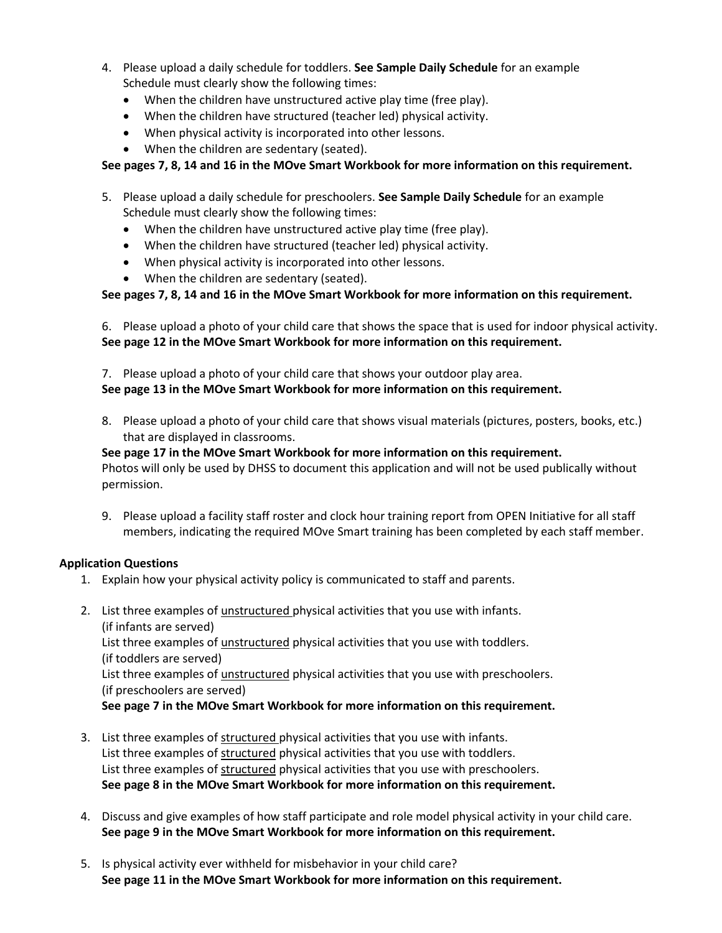- 4. Please upload a daily schedule for toddlers. **See Sample Daily Schedule** for an example Schedule must clearly show the following times:
	- When the children have unstructured active play time (free play).
	- When the children have structured (teacher led) physical activity.
	- When physical activity is incorporated into other lessons.
	- When the children are sedentary (seated).

### **See pages 7, 8, 14 and 16 in the MOve Smart Workbook for more information on this requirement.**

- 5. Please upload a daily schedule for preschoolers. **See Sample Daily Schedule** for an example Schedule must clearly show the following times:
	- When the children have unstructured active play time (free play).
	- When the children have structured (teacher led) physical activity.
	- When physical activity is incorporated into other lessons.
	- When the children are sedentary (seated).

## **See pages 7, 8, 14 and 16 in the MOve Smart Workbook for more information on this requirement.**

6. Please upload a photo of your child care that shows the space that is used for indoor physical activity. **See page 12 in the MOve Smart Workbook for more information on this requirement.**

7. Please upload a photo of your child care that shows your outdoor play area. **See page 13 in the MOve Smart Workbook for more information on this requirement.**

8. Please upload a photo of your child care that shows visual materials (pictures, posters, books, etc.) that are displayed in classrooms.

#### **See page 17 in the MOve Smart Workbook for more information on this requirement.** Photos will only be used by DHSS to document this application and will not be used publically without permission.

9. Please upload a facility staff roster and clock hour training report from OPEN Initiative for all staff members, indicating the required MOve Smart training has been completed by each staff member.

### **Application Questions**

- 1. Explain how your physical activity policy is communicated to staff and parents.
- 2. List three examples of *unstructured* physical activities that you use with infants. (if infants are served) List three examples of unstructured physical activities that you use with toddlers. (if toddlers are served) List three examples of *unstructured* physical activities that you use with preschoolers. (if preschoolers are served) **See page 7 in the MOve Smart Workbook for more information on this requirement.**
- 3. List three examples of structured physical activities that you use with infants. List three examples of structured physical activities that you use with toddlers. List three examples of structured physical activities that you use with preschoolers. **See page 8 in the MOve Smart Workbook for more information on this requirement.**
- 4. Discuss and give examples of how staff participate and role model physical activity in your child care. **See page 9 in the MOve Smart Workbook for more information on this requirement.**
- 5. Is physical activity ever withheld for misbehavior in your child care? **See page 11 in the MOve Smart Workbook for more information on this requirement.**